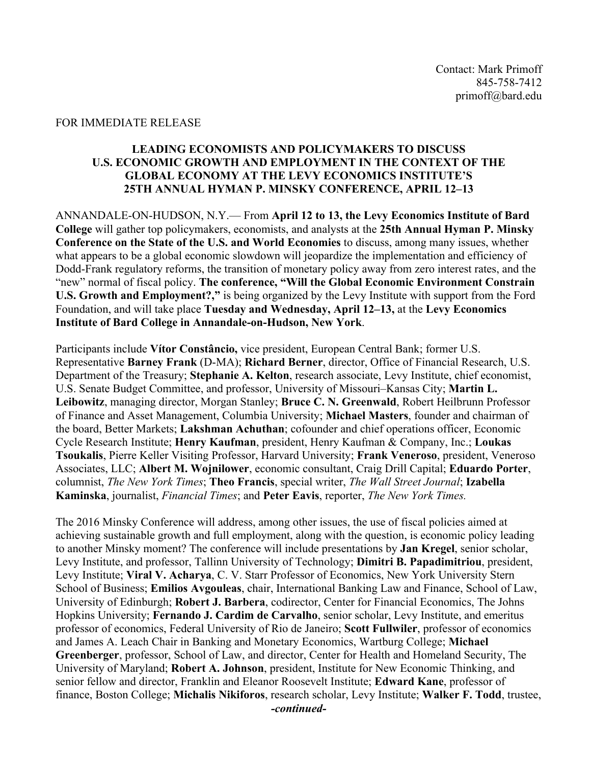## FOR IMMEDIATE RELEASE

## **LEADING ECONOMISTS AND POLICYMAKERS TO DISCUSS U.S. ECONOMIC GROWTH AND EMPLOYMENT IN THE CONTEXT OF THE GLOBAL ECONOMY AT THE LEVY ECONOMICS INSTITUTE'S 25TH ANNUAL HYMAN P. MINSKY CONFERENCE, APRIL 12–13**

ANNANDALE-ON-HUDSON, N.Y.— From **April 12 to 13, the Levy Economics Institute of Bard College** will gather top policymakers, economists, and analysts at the **25th Annual Hyman P. Minsky Conference on the State of the U.S. and World Economies** to discuss, among many issues, whether what appears to be a global economic slowdown will jeopardize the implementation and efficiency of Dodd-Frank regulatory reforms, the transition of monetary policy away from zero interest rates, and the "new" normal of fiscal policy. **The conference, "Will the Global Economic Environment Constrain U.S. Growth and Employment?,"** is being organized by the Levy Institute with support from the Ford Foundation, and will take place **Tuesday and Wednesday, April 12–13,** at the **Levy Economics Institute of Bard College in Annandale-on-Hudson, New York**.

Participants include **Vítor Constâncio,** vice president, European Central Bank; former U.S. Representative **Barney Frank** (D-MA); **Richard Berner**, director, Office of Financial Research, U.S. Department of the Treasury; **Stephanie A. Kelton**, research associate, Levy Institute, chief economist, U.S. Senate Budget Committee, and professor, University of Missouri–Kansas City; **Martin L. Leibowitz**, managing director, Morgan Stanley; **Bruce C. N. Greenwald**, Robert Heilbrunn Professor of Finance and Asset Management, Columbia University; **Michael Masters**, founder and chairman of the board, Better Markets; **Lakshman Achuthan**; cofounder and chief operations officer, Economic Cycle Research Institute; **Henry Kaufman**, president, Henry Kaufman & Company, Inc.; **Loukas Tsoukalis**, Pierre Keller Visiting Professor, Harvard University; **Frank Veneroso**, president, Veneroso Associates, LLC; **Albert M. Wojnilower**, economic consultant, Craig Drill Capital; **Eduardo Porter**, columnist, *The New York Times*; **Theo Francis**, special writer, *The Wall Street Journal*; **Izabella Kaminska**, journalist, *Financial Times*; and **Peter Eavis**, reporter, *The New York Times.*

The 2016 Minsky Conference will address, among other issues, the use of fiscal policies aimed at achieving sustainable growth and full employment, along with the question, is economic policy leading to another Minsky moment? The conference will include presentations by **Jan Kregel**, senior scholar, Levy Institute, and professor, Tallinn University of Technology; **Dimitri B. Papadimitriou**, president, Levy Institute; **Viral V. Acharya**, C. V. Starr Professor of Economics, New York University Stern School of Business; **Emilios Avgouleas**, chair, International Banking Law and Finance, School of Law, University of Edinburgh; **Robert J. Barbera**, codirector, Center for Financial Economics, The Johns Hopkins University; **Fernando J. Cardim de Carvalho**, senior scholar, Levy Institute, and emeritus professor of economics, Federal University of Rio de Janeiro; **Scott Fullwiler**, professor of economics and James A. Leach Chair in Banking and Monetary Economics, Wartburg College; **Michael Greenberger**, professor, School of Law, and director, Center for Health and Homeland Security, The University of Maryland; **Robert A. Johnson**, president, Institute for New Economic Thinking, and senior fellow and director, Franklin and Eleanor Roosevelt Institute; **Edward Kane**, professor of finance, Boston College; **Michalis Nikiforos**, research scholar, Levy Institute; **Walker F. Todd**, trustee, *-continued-*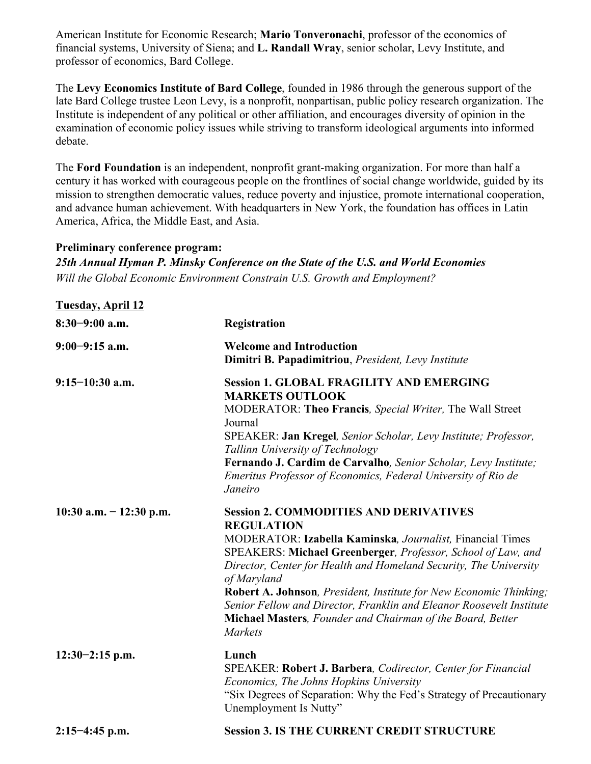American Institute for Economic Research; **Mario Tonveronachi**, professor of the economics of financial systems, University of Siena; and **L. Randall Wray**, senior scholar, Levy Institute, and professor of economics, Bard College.

The **Levy Economics Institute of Bard College**, founded in 1986 through the generous support of the late Bard College trustee Leon Levy, is a nonprofit, nonpartisan, public policy research organization. The Institute is independent of any political or other affiliation, and encourages diversity of opinion in the examination of economic policy issues while striving to transform ideological arguments into informed debate.

The **Ford Foundation** is an independent, nonprofit grant-making organization. For more than half a century it has worked with courageous people on the frontlines of social change worldwide, guided by its mission to strengthen democratic values, reduce poverty and injustice, promote international cooperation, and advance human achievement. With headquarters in New York, the foundation has offices in Latin America, Africa, the Middle East, and Asia.

## **Preliminary conference program:**

*25th Annual Hyman P. Minsky Conference on the State of the U.S. and World Economies Will the Global Economic Environment Constrain U.S. Growth and Employment?*

| <b>Tuesday, April 12</b>  |                                                                                                                                                                                                                                                                                                                                                                                                                                                                                                                   |
|---------------------------|-------------------------------------------------------------------------------------------------------------------------------------------------------------------------------------------------------------------------------------------------------------------------------------------------------------------------------------------------------------------------------------------------------------------------------------------------------------------------------------------------------------------|
| $8:30-9:00$ a.m.          | Registration                                                                                                                                                                                                                                                                                                                                                                                                                                                                                                      |
| $9:00-9:15$ a.m.          | <b>Welcome and Introduction</b><br>Dimitri B. Papadimitriou, President, Levy Institute                                                                                                                                                                                                                                                                                                                                                                                                                            |
| $9:15-10:30$ a.m.         | <b>Session 1. GLOBAL FRAGILITY AND EMERGING</b><br><b>MARKETS OUTLOOK</b><br>MODERATOR: Theo Francis, Special Writer, The Wall Street<br>Journal<br>SPEAKER: Jan Kregel, Senior Scholar, Levy Institute; Professor,<br>Tallinn University of Technology<br>Fernando J. Cardim de Carvalho, Senior Scholar, Levy Institute;<br>Emeritus Professor of Economics, Federal University of Rio de<br>Janeiro                                                                                                            |
| 10:30 a.m. $- 12:30$ p.m. | <b>Session 2. COMMODITIES AND DERIVATIVES</b><br><b>REGULATION</b><br>MODERATOR: Izabella Kaminska, Journalist, Financial Times<br>SPEAKERS: Michael Greenberger, Professor, School of Law, and<br>Director, Center for Health and Homeland Security, The University<br>of Maryland<br>Robert A. Johnson, President, Institute for New Economic Thinking;<br>Senior Fellow and Director, Franklin and Eleanor Roosevelt Institute<br>Michael Masters, Founder and Chairman of the Board, Better<br><b>Markets</b> |
| $12:30-2:15$ p.m.         | Lunch<br>SPEAKER: Robert J. Barbera, Codirector, Center for Financial<br>Economics, The Johns Hopkins University<br>"Six Degrees of Separation: Why the Fed's Strategy of Precautionary<br>Unemployment Is Nutty"                                                                                                                                                                                                                                                                                                 |
| $2:15-4:45$ p.m.          | <b>Session 3. IS THE CURRENT CREDIT STRUCTURE</b>                                                                                                                                                                                                                                                                                                                                                                                                                                                                 |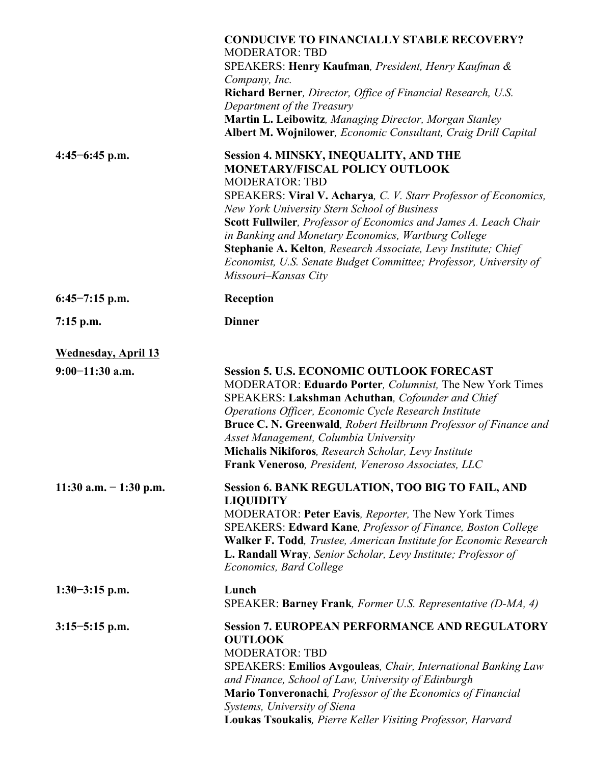|                            | <b>CONDUCIVE TO FINANCIALLY STABLE RECOVERY?</b><br><b>MODERATOR: TBD</b><br>SPEAKERS: Henry Kaufman, President, Henry Kaufman &<br>Company, Inc.<br>Richard Berner, Director, Office of Financial Research, U.S.<br>Department of the Treasury<br>Martin L. Leibowitz, Managing Director, Morgan Stanley<br>Albert M. Wojnilower, Economic Consultant, Craig Drill Capital                                                                                                                                           |
|----------------------------|-----------------------------------------------------------------------------------------------------------------------------------------------------------------------------------------------------------------------------------------------------------------------------------------------------------------------------------------------------------------------------------------------------------------------------------------------------------------------------------------------------------------------|
| $4:45-6:45$ p.m.           | <b>Session 4. MINSKY, INEQUALITY, AND THE</b><br>MONETARY/FISCAL POLICY OUTLOOK<br><b>MODERATOR: TBD</b><br>SPEAKERS: Viral V. Acharya, C. V. Starr Professor of Economics,<br>New York University Stern School of Business<br>Scott Fullwiler, Professor of Economics and James A. Leach Chair<br>in Banking and Monetary Economics, Wartburg College<br>Stephanie A. Kelton, Research Associate, Levy Institute; Chief<br>Economist, U.S. Senate Budget Committee; Professor, University of<br>Missouri-Kansas City |
| $6:45-7:15$ p.m.           | Reception                                                                                                                                                                                                                                                                                                                                                                                                                                                                                                             |
| $7:15$ p.m.                | <b>Dinner</b>                                                                                                                                                                                                                                                                                                                                                                                                                                                                                                         |
| <b>Wednesday, April 13</b> |                                                                                                                                                                                                                                                                                                                                                                                                                                                                                                                       |
| $9:00-11:30$ a.m.          | <b>Session 5. U.S. ECONOMIC OUTLOOK FORECAST</b><br>MODERATOR: Eduardo Porter, Columnist, The New York Times<br>SPEAKERS: Lakshman Achuthan, Cofounder and Chief<br>Operations Officer, Economic Cycle Research Institute<br>Bruce C. N. Greenwald, Robert Heilbrunn Professor of Finance and<br>Asset Management, Columbia University<br>Michalis Nikiforos, Research Scholar, Levy Institute<br><b>Frank Veneroso</b> , President, Veneroso Associates, LLC                                                         |
| 11:30 a.m. $-1:30$ p.m.    | Session 6. BANK REGULATION, TOO BIG TO FAIL, AND<br><b>LIQUIDITY</b><br>MODERATOR: Peter Eavis, Reporter, The New York Times<br>SPEAKERS: Edward Kane, Professor of Finance, Boston College<br>Walker F. Todd, Trustee, American Institute for Economic Research<br>L. Randall Wray, Senior Scholar, Levy Institute; Professor of<br>Economics, Bard College                                                                                                                                                          |
| $1:30-3:15$ p.m.           | Lunch<br>SPEAKER: Barney Frank, Former U.S. Representative (D-MA, 4)                                                                                                                                                                                                                                                                                                                                                                                                                                                  |
| $3:15-5:15$ p.m.           | <b>Session 7. EUROPEAN PERFORMANCE AND REGULATORY</b><br><b>OUTLOOK</b><br><b>MODERATOR: TBD</b><br>SPEAKERS: Emilios Avgouleas, Chair, International Banking Law<br>and Finance, School of Law, University of Edinburgh<br>Mario Tonveronachi, Professor of the Economics of Financial<br>Systems, University of Siena<br>Loukas Tsoukalis, Pierre Keller Visiting Professor, Harvard                                                                                                                                |